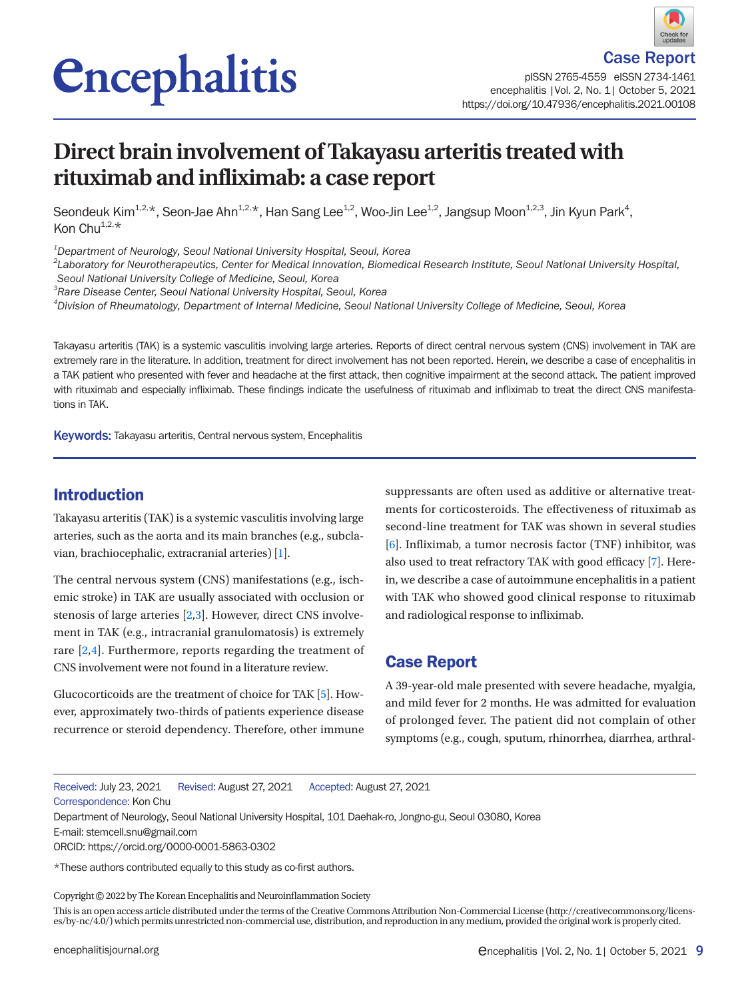# *<u>Encephalitis</u>*

pISSN 2765-4559 eISSN 2734-1461 encephalitis |Vol. 2, No. 1| October 5, 2021 https://doi.org/10.47936/encephalitis.2021.00108

## **Direct brain involvement of Takayasu arteritis treated with rituximab and infliximab: a case report**

Seondeuk Kim $^{1,2,\star}$ , Seon-Jae Ahn $^{1,2,\star}$ , Han Sang Lee $^{1,2}$ , Woo-Jin Lee $^{1,2}$ , Jangsup Moon $^{1,2,3}$ , Jin Kyun Park $^4$ , Kon Chu $^{1,2,*}$ 

*1 Department of Neurology, Seoul National University Hospital, Seoul, Korea* 

*2 Laboratory for Neurotherapeutics, Center for Medical Innovation, Biomedical Research Institute, Seoul National University Hospital,* 

*Seoul National University College of Medicine, Seoul, Korea* 

*3 Rare Disease Center, Seoul National University Hospital, Seoul, Korea* 

*4 Division of Rheumatology, Department of Internal Medicine, Seoul National University College of Medicine, Seoul, Korea* 

Takayasu arteritis (TAK) is a systemic vasculitis involving large arteries. Reports of direct central nervous system (CNS) involvement in TAK are extremely rare in the literature. In addition, treatment for direct involvement has not been reported. Herein, we describe a case of encephalitis in a TAK patient who presented with fever and headache at the first attack, then cognitive impairment at the second attack. The patient improved with rituximab and especially infliximab. These findings indicate the usefulness of rituximab and infliximab to treat the direct CNS manifestations in TAK.

Keywords: Takayasu arteritis, Central nervous system, Encephalitis

#### Introduction

Takayasu arteritis (TAK) is a systemic vasculitis involving large arteries, such as the aorta and its main branches (e.g., subclavian, brachiocephalic, extracranial arteries) [\[1](#page-3-0)].

The central nervous system (CNS) manifestations (e.g., ischemic stroke) in TAK are usually associated with occlusion or stenosis of large arteries [\[2](#page-3-1)[,3](#page-3-2)]. However, direct CNS involvement in TAK (e.g., intracranial granulomatosis) is extremely rare [\[2](#page-3-1),[4\]](#page-4-0). Furthermore, reports regarding the treatment of CNS involvement were not found in a literature review.

Glucocorticoids are the treatment of choice for TAK [\[5](#page-4-1)]. However, approximately two-thirds of patients experience disease recurrence or steroid dependency. Therefore, other immune

suppressants are often used as additive or alternative treatments for corticosteroids. The effectiveness of rituximab as second-line treatment for TAK was shown in several studies [\[6\]](#page-4-2). Infliximab, a tumor necrosis factor (TNF) inhibitor, was also used to treat refractory TAK with good efficacy [\[7](#page-4-3)]. Herein, we describe a case of autoimmune encephalitis in a patient with TAK who showed good clinical response to rituximab and radiological response to infliximab.

#### Case Report

A 39-year-old male presented with severe headache, myalgia, and mild fever for 2 months. He was admitted for evaluation of prolonged fever. The patient did not complain of other symptoms (e.g., cough, sputum, rhinorrhea, diarrhea, arthral-

Received: July 23, 2021 Revised: August 27, 2021 Accepted: August 27, 2021

Correspondence: Kon Chu

Department of Neurology, Seoul National University Hospital, 101 Daehak-ro, Jongno-gu, Seoul 03080, Korea

E-mail: stemcell.snu@gmail.com

\*These authors contributed equally to this study as co-first authors.

Copyright©2022 by The Korean Encephalitis and Neuroinflammation Society

This is an open access article distributed under the terms of the Creative Commons Attribution Non-Commercial License (http://creativecommons.org/licenses/by-nc/4.0/) which permits unrestricted non-commercial use, distribution, and reproduction in any medium, provided the original work is properly cited.

ORCID: https://orcid.org/0000-0001-5863-0302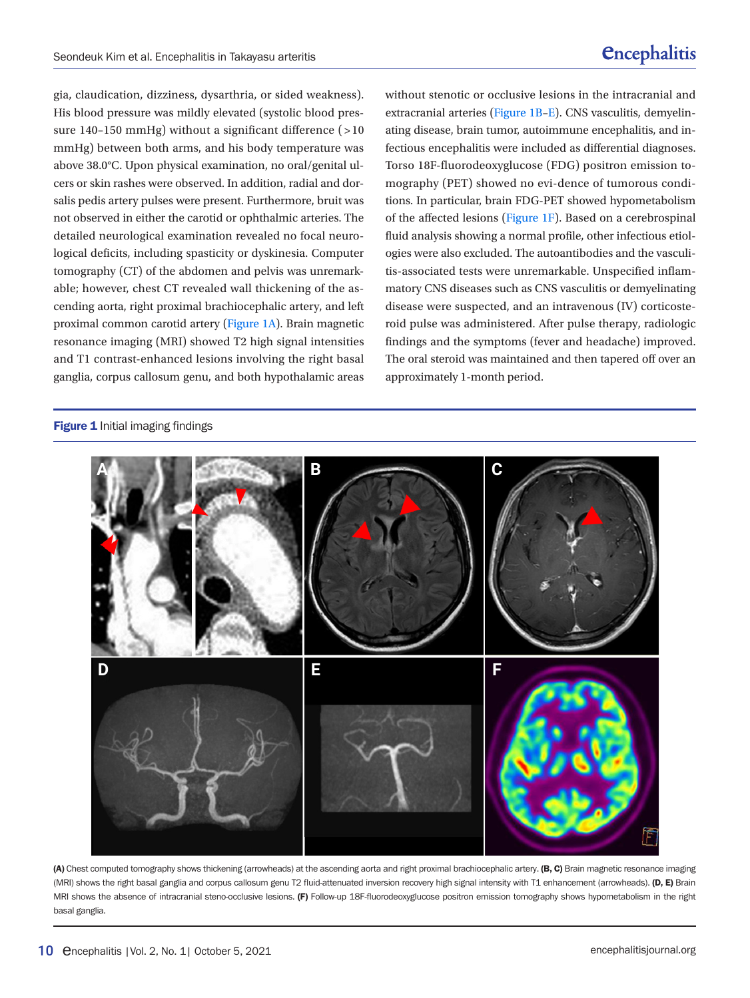gia, claudication, dizziness, dysarthria, or sided weakness). His blood pressure was mildly elevated (systolic blood pressure 140–150 mmHg) without a significant difference  $($  > 10 mmHg) between both arms, and his body temperature was above 38.0°C. Upon physical examination, no oral/genital ulcers or skin rashes were observed. In addition, radial and dorsalis pedis artery pulses were present. Furthermore, bruit was not observed in either the carotid or ophthalmic arteries. The detailed neurological examination revealed no focal neurological deficits, including spasticity or dyskinesia. Computer tomography (CT) of the abdomen and pelvis was unremarkable; however, chest CT revealed wall thickening of the ascending aorta, right proximal brachiocephalic artery, and left proximal common carotid artery [\(Figure 1A](#page-4-2)). Brain magnetic resonance imaging (MRI) showed T2 high signal intensities and T1 contrast-enhanced lesions involving the right basal ganglia, corpus callosum genu, and both hypothalamic areas

#### Figure 1 Initial imaging findings

without stenotic or occlusive lesions in the intracranial and extracranial arteries [\(Figure 1B–E\)](#page-4-2). CNS vasculitis, demyelinating disease, brain tumor, autoimmune encephalitis, and infectious encephalitis were included as differential diagnoses. Torso 18F-fluorodeoxyglucose (FDG) positron emission tomography (PET) showed no evi-dence of tumorous conditions. In particular, brain FDG-PET showed hypometabolism of the affected lesions [\(](#page-4-2)Figure [1F\)](#page-4-2). Based on a cerebrospinal fluid analysis showing a normal profile, other infectious etiologies were also excluded. The autoantibodies and the vasculitis-associated tests were unremarkable. Unspecified inflammatory CNS diseases such as CNS vasculitis or demyelinating disease were suspected, and an intravenous (IV) corticosteroid pulse was administered. After pulse therapy, radiologic findings and the symptoms (fever and headache) improved. The oral steroid was maintained and then tapered off over an approximately 1-month period.



(A) Chest computed tomography shows thickening (arrowheads) at the ascending aorta and right proximal brachiocephalic artery. (B, C) Brain magnetic resonance imaging (MRI) shows the right basal ganglia and corpus callosum genu T2 fluid-attenuated inversion recovery high signal intensity with T1 enhancement (arrowheads). (D, E) Brain MRI shows the absence of intracranial steno-occlusive lesions. (F) Follow-up 18F-fluorodeoxyglucose positron emission tomography shows hypometabolism in the right basal ganglia.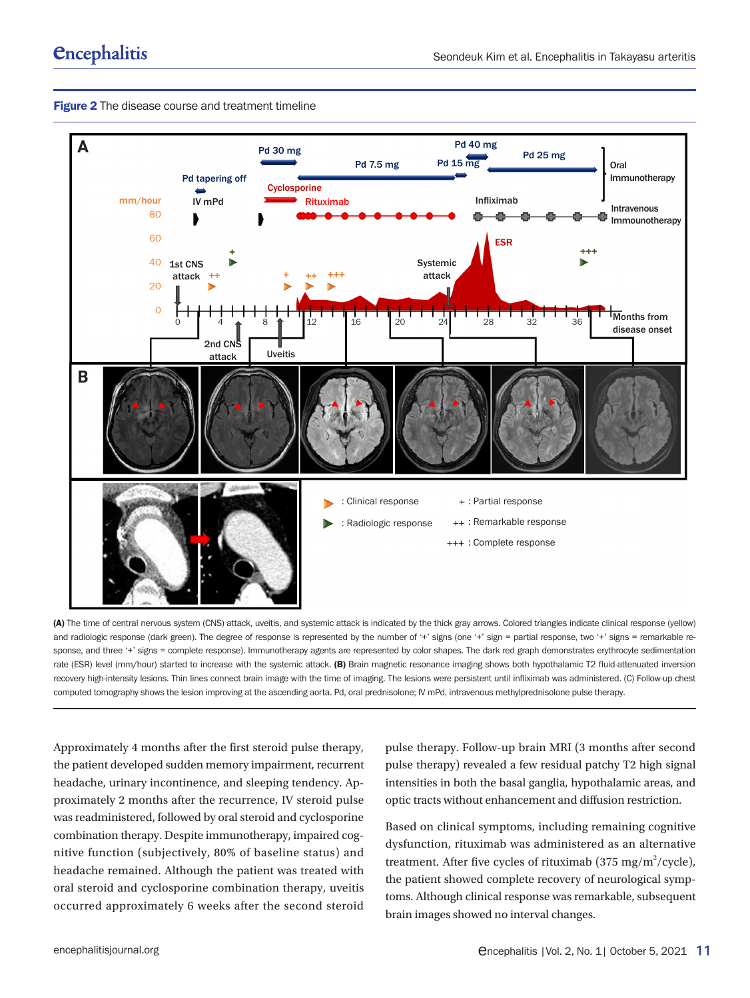



(A) The time of central nervous system (CNS) attack, uveitis, and systemic attack is indicated by the thick gray arrows. Colored triangles indicate clinical response (yellow) and radiologic response (dark green). The degree of response is represented by the number of '+' signs (one '+' sign = partial response, two '+' signs = remarkable response, and three '+' signs = complete response). Immunotherapy agents are represented by color shapes. The dark red graph demonstrates erythrocyte sedimentation rate (ESR) level (mm/hour) started to increase with the systemic attack. (B) Brain magnetic resonance imaging shows both hypothalamic T2 fluid-attenuated inversion recovery high-intensity lesions. Thin lines connect brain image with the time of imaging. The lesions were persistent until infliximab was administered. (C) Follow-up chest computed tomography shows the lesion improving at the ascending aorta. Pd, oral prednisolone; IV mPd, intravenous methylprednisolone pulse therapy.

Approximately 4 months after the first steroid pulse therapy, the patient developed sudden memory impairment, recurrent headache, urinary incontinence, and sleeping tendency. Approximately 2 months after the recurrence, IV steroid pulse was readministered, followed by oral steroid and cyclosporine combination therapy. Despite immunotherapy, impaired cognitive function (subjectively, 80% of baseline status) and headache remained. Although the patient was treated with oral steroid and cyclosporine combination therapy, uveitis occurred approximately 6 weeks after the second steroid

pulse therapy. Follow-up brain MRI (3 months after second pulse therapy) revealed a few residual patchy T2 high signal intensities in both the basal ganglia, hypothalamic areas, and optic tracts without enhancement and diffusion restriction.

Based on clinical symptoms, including remaining cognitive dysfunction, rituximab was administered as an alternative treatment. After five cycles of rituximab (375 mg/m<sup>2</sup>/cycle), the patient showed complete recovery of neurological symptoms. Although clinical response was remarkable, subsequent brain images showed no interval changes.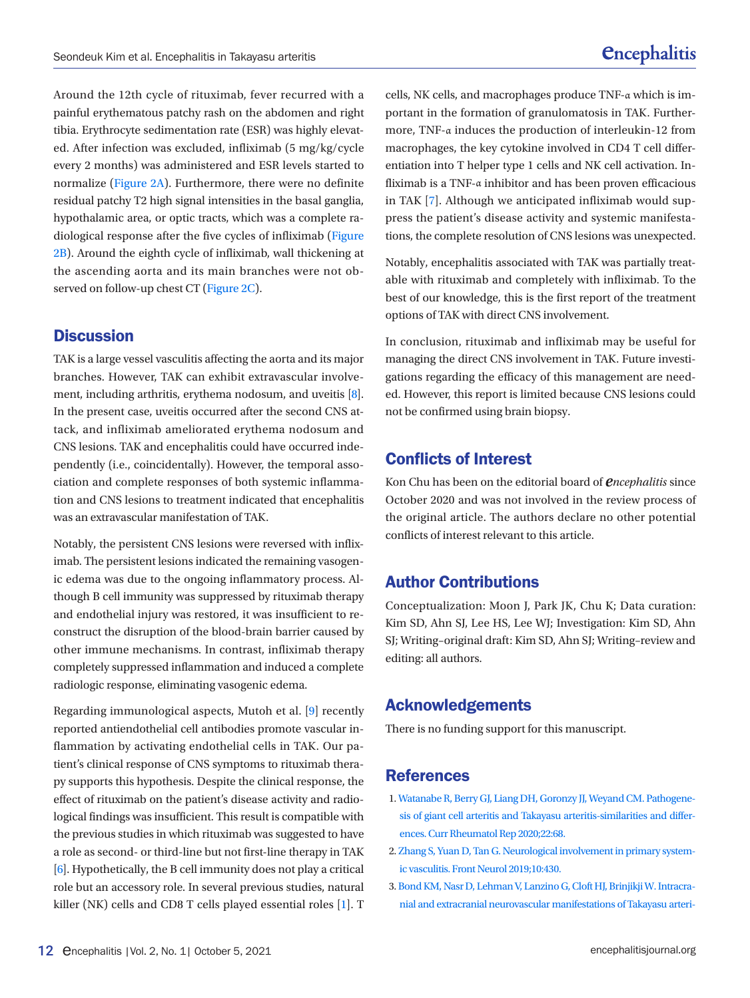Around the 12th cycle of rituximab, fever recurred with a painful erythematous patchy rash on the abdomen and right tibia. Erythrocyte sedimentation rate (ESR) was highly elevated. After infection was excluded, infliximab (5 mg/kg/cycle every 2 months) was administered and ESR levels started to normalize (Figure 2A). Furthermore, there were no definite residual patchy T2 high signal intensities in the basal ganglia, hypothalamic area, or optic tracts, which was a complete radiological response after the five cycles of infliximab (Figure 2B). Around the eighth cycle of infliximab, wall thickening at the ascending aorta and its main branches were not observed on follow-up chest CT (Figure 2C).

#### **Discussion**

TAK is a large vessel vasculitis affecting the aorta and its major branches. However, TAK can exhibit extravascular involve-ment, including arthritis, erythema nodosum, and uveitis [\[8\]](#page-4-4). In the present case, uveitis occurred after the second CNS attack, and infliximab ameliorated erythema nodosum and CNS lesions. TAK and encephalitis could have occurred independently (i.e., coincidentally). However, the temporal association and complete responses of both systemic inflammation and CNS lesions to treatment indicated that encephalitis was an extravascular manifestation of TAK.

Notably, the persistent CNS lesions were reversed with infliximab. The persistent lesions indicated the remaining vasogenic edema was due to the ongoing inflammatory process. Although B cell immunity was suppressed by rituximab therapy and endothelial injury was restored, it was insufficient to reconstruct the disruption of the blood-brain barrier caused by other immune mechanisms. In contrast, infliximab therapy completely suppressed inflammation and induced a complete radiologic response, eliminating vasogenic edema.

Regarding immunological aspects, Mutoh et al. [\[9](#page-4-5)] recently reported antiendothelial cell antibodies promote vascular inflammation by activating endothelial cells in TAK. Our patient's clinical response of CNS symptoms to rituximab therapy supports this hypothesis. Despite the clinical response, the effect of rituximab on the patient's disease activity and radiological findings was insufficient. This result is compatible with the previous studies in which rituximab was suggested to have a role as second- or third-line but not first-line therapy in TAK [\[6](#page-4-6)]. Hypothetically, the B cell immunity does not play a critical role but an accessory role. In several previous studies, natural killer (NK) cells and CD8 T cells played essential roles [[1\]](#page-3-1). T cells, NK cells, and macrophages produce TNF-α which is important in the formation of granulomatosis in TAK. Furthermore, TNF-α induces the production of interleukin-12 from macrophages, the key cytokine involved in CD4 T cell differentiation into T helper type 1 cells and NK cell activation. Infliximab is a TNF-α inhibitor and has been proven efficacious in TAK [\[7\]](#page-4-6). Although we anticipated infliximab would suppress the patient's disease activity and systemic manifestations, the complete resolution of CNS lesions was unexpected.

Notably, encephalitis associated with TAK was partially treatable with rituximab and completely with infliximab. To the best of our knowledge, this is the first report of the treatment options of TAK with direct CNS involvement.

In conclusion, rituximab and infliximab may be useful for managing the direct CNS involvement in TAK. Future investigations regarding the efficacy of this management are needed. However, this report is limited because CNS lesions could not be confirmed using brain biopsy.

#### Conflicts of Interest

Kon Chu has been on the editorial board of *encephalitis* since October 2020 and was not involved in the review process of the original article. The authors declare no other potential conflicts of interest relevant to this article.

### Author Contributions

Conceptualization: Moon J, Park JK, Chu K; Data curation: Kim SD, Ahn SJ, Lee HS, Lee WJ; Investigation: Kim SD, Ahn SJ; Writing–original draft: Kim SD, Ahn SJ; Writing–review and editing: all authors.

#### <span id="page-3-1"></span>Acknowledgements

There is no funding support for this manuscript.

#### References

- <span id="page-3-0"></span>1. [Watanabe R, Berry GJ, Liang DH, Goronzy JJ, Weyand CM. Pathogene](https://doi.org/10.1007/s11926-020-00948-x)[sis of giant cell arteritis and Takayasu arteritis-similarities and differ](https://doi.org/10.1007/s11926-020-00948-x)[ences. Curr Rheumatol Rep 2020;22:68.](https://doi.org/10.1007/s11926-020-00948-x)
- 2. [Zhang S, Yuan D, Tan G. Neurological involvement in primary system](https://doi.org/10.3389/fneur.2019.00430)[ic vasculitis. Front Neurol 2019;10:430.](https://doi.org/10.3389/fneur.2019.00430)
- <span id="page-3-2"></span>[3. Bond KM, Nasr D, Lehman V, Lanzino G, Cloft HJ, Brinjikji W. Intracra](https://doi.org/10.3174/ajnr.a5095)[nial and extracranial neurovascular manifestations of Takayasu arteri-](https://doi.org/10.3174/ajnr.a5095)